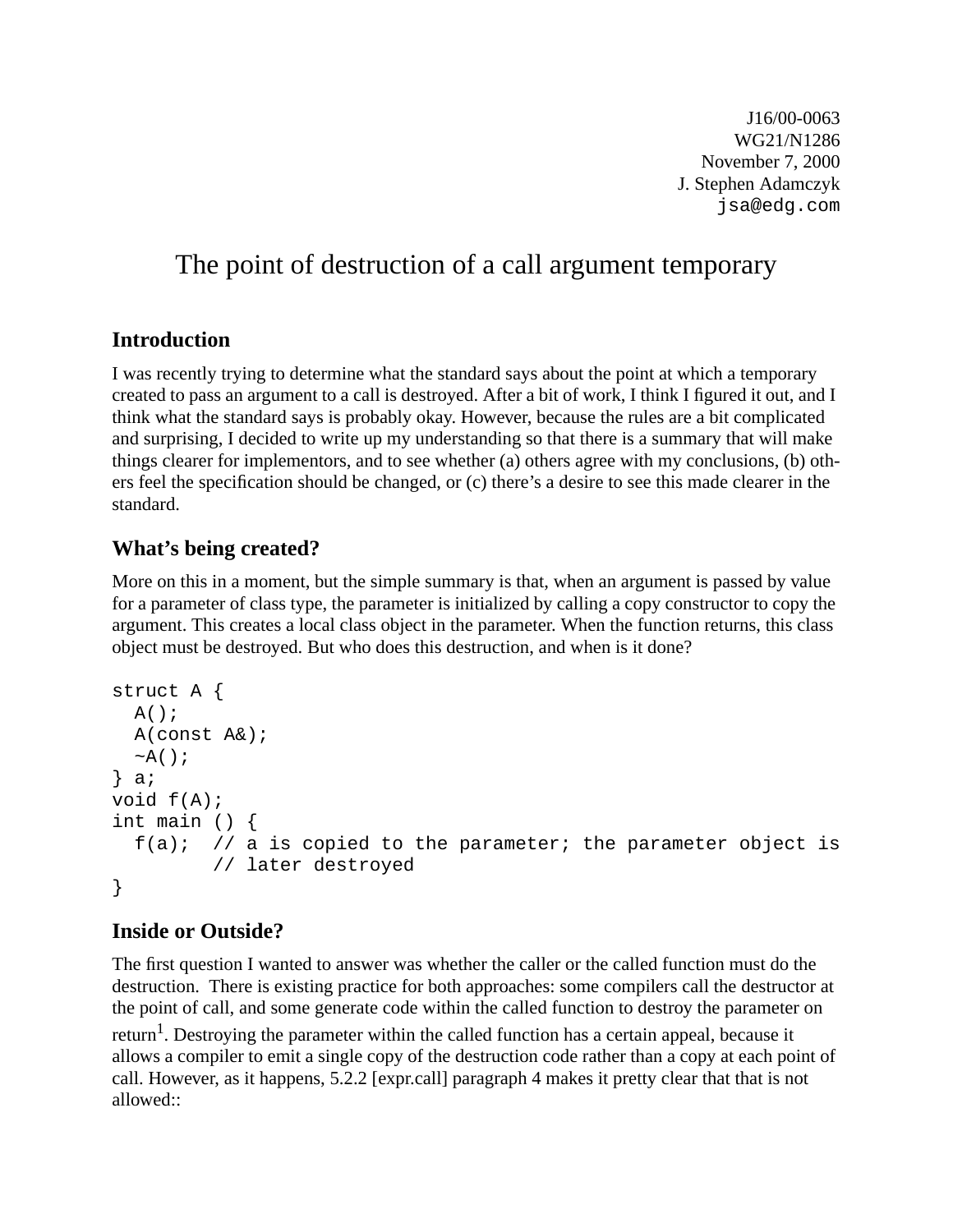J16/00-0063 WG21/N1286 November 7, 2000 J. Stephen Adamczyk jsa@edg.com

# The point of destruction of a call argument temporary

## **Introduction**

I was recently trying to determine what the standard says about the point at which a temporary created to pass an argument to a call is destroyed. After a bit of work, I think I figured it out, and I think what the standard says is probably okay. However, because the rules are a bit complicated and surprising, I decided to write up my understanding so that there is a summary that will make things clearer for implementors, and to see whether (a) others agree with my conclusions, (b) others feel the specification should be changed, or (c) there's a desire to see this made clearer in the standard.

### **What's being created?**

More on this in a moment, but the simple summary is that, when an argument is passed by value for a parameter of class type, the parameter is initialized by calling a copy constructor to copy the argument. This creates a local class object in the parameter. When the function returns, this class object must be destroyed. But who does this destruction, and when is it done?

```
struct A {
  A();
   A(const A&);
  ~\simA();
} a;
void f(A);
int main () {
  f(a); // a is copied to the parameter; the parameter object is
          // later destroyed
}
```
## **Inside or Outside?**

The first question I wanted to answer was whether the caller or the called function must do the destruction. There is existing practice for both approaches: some compilers call the destructor at the point of call, and some generate code within the called function to destroy the parameter on

return<sup>1</sup>. Destroying the parameter within the called function has a certain appeal, because it allows a compiler to emit a single copy of the destruction code rather than a copy at each point of call. However, as it happens, 5.2.2 [expr.call] paragraph 4 makes it pretty clear that that is not allowed::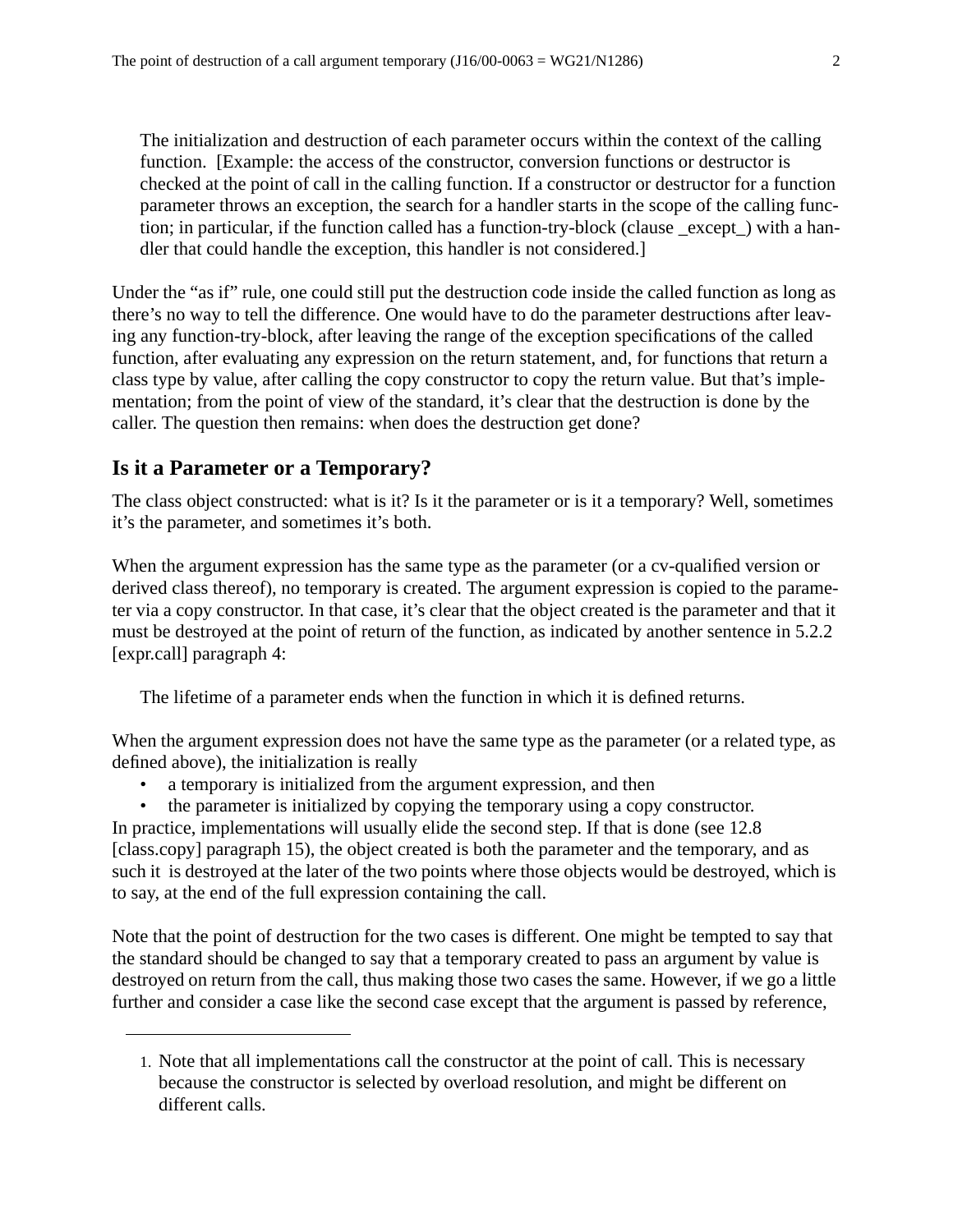The initialization and destruction of each parameter occurs within the context of the calling function. [Example: the access of the constructor, conversion functions or destructor is checked at the point of call in the calling function. If a constructor or destructor for a function parameter throws an exception, the search for a handler starts in the scope of the calling function; in particular, if the function called has a function-try-block (clause \_except\_) with a handler that could handle the exception, this handler is not considered.]

Under the "as if" rule, one could still put the destruction code inside the called function as long as there's no way to tell the difference. One would have to do the parameter destructions after leaving any function-try-block, after leaving the range of the exception specifications of the called function, after evaluating any expression on the return statement, and, for functions that return a class type by value, after calling the copy constructor to copy the return value. But that's implementation; from the point of view of the standard, it's clear that the destruction is done by the caller. The question then remains: when does the destruction get done?

#### **Is it a Parameter or a Temporary?**

The class object constructed: what is it? Is it the parameter or is it a temporary? Well, sometimes it's the parameter, and sometimes it's both.

When the argument expression has the same type as the parameter (or a cv-qualified version or derived class thereof), no temporary is created. The argument expression is copied to the parameter via a copy constructor. In that case, it's clear that the object created is the parameter and that it must be destroyed at the point of return of the function, as indicated by another sentence in 5.2.2 [expr.call] paragraph 4:

The lifetime of a parameter ends when the function in which it is defined returns.

When the argument expression does not have the same type as the parameter (or a related type, as defined above), the initialization is really

- a temporary is initialized from the argument expression, and then
- the parameter is initialized by copying the temporary using a copy constructor.

In practice, implementations will usually elide the second step. If that is done (see 12.8 [class.copy] paragraph 15), the object created is both the parameter and the temporary, and as such it is destroyed at the later of the two points where those objects would be destroyed, which is to say, at the end of the full expression containing the call.

Note that the point of destruction for the two cases is different. One might be tempted to say that the standard should be changed to say that a temporary created to pass an argument by value is destroyed on return from the call, thus making those two cases the same. However, if we go a little further and consider a case like the second case except that the argument is passed by reference,

<sup>1.</sup> Note that all implementations call the constructor at the point of call. This is necessary because the constructor is selected by overload resolution, and might be different on different calls.